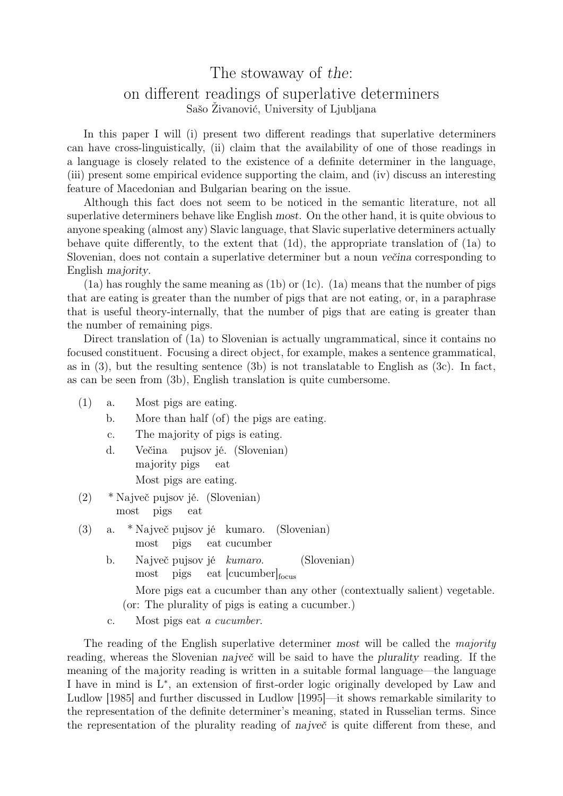## The stowaway of the:

## on different readings of superlative determiners Sašo Živanović, University of Ljubljana

In this paper I will (i) present two different readings that superlative determiners can have cross-linguistically, (ii) claim that the availability of one of those readings in a language is closely related to the existence of a definite determiner in the language, (iii) present some empirical evidence supporting the claim, and (iv) discuss an interesting feature of Macedonian and Bulgarian bearing on the issue.

Although this fact does not seem to be noticed in the semantic literature, not all superlative determiners behave like English most. On the other hand, it is quite obvious to anyone speaking (almost any) Slavic language, that Slavic superlative determiners actually behave quite differently, to the extent that (1d), the appropriate translation of (1a) to Slovenian, does not contain a superlative determiner but a noun večina corresponding to English majority.

 $(1a)$  has roughly the same meaning as  $(1b)$  or  $(1c)$ .  $(1a)$  means that the number of pigs that are eating is greater than the number of pigs that are not eating, or, in a paraphrase that is useful theory-internally, that the number of pigs that are eating is greater than the number of remaining pigs.

Direct translation of (1a) to Slovenian is actually ungrammatical, since it contains no focused constituent. Focusing a direct object, for example, makes a sentence grammatical, as in (3), but the resulting sentence (3b) is not translatable to English as (3c). In fact, as can be seen from (3b), English translation is quite cumbersome.

- (1) a. Most pigs are eating.
	- b. More than half (of) the pigs are eating.
	- c. The majority of pigs is eating.
	- d. Večina pujsov jé. (Slovenian) majority pigs eat Most pigs are eating.
- (2) \* Največ pujsov jé. (Slovenian) most pigs eat
- (3) a. \* Največ pujsov jé kumaro. most pigs eat cucumber (Slovenian)
	- b. Največ pujsov jé kumaro. most pigs eat [cucumber]<sub>focus</sub> (Slovenian) More pigs eat a cucumber than any other (contextually salient) vegetable. (or: The plurality of pigs is eating a cucumber.)
	- c. Most pigs eat a cucumber.

The reading of the English superlative determiner most will be called the majority reading, whereas the Slovenian največ will be said to have the plurality reading. If the meaning of the majority reading is written in a suitable formal language—the language I have in mind is L<sup>∗</sup> , an extension of first-order logic originally developed by Law and Ludlow [1985] and further discussed in Ludlow [1995]—it shows remarkable similarity to the representation of the definite determiner's meaning, stated in Russelian terms. Since the representation of the plurality reading of največ is quite different from these, and